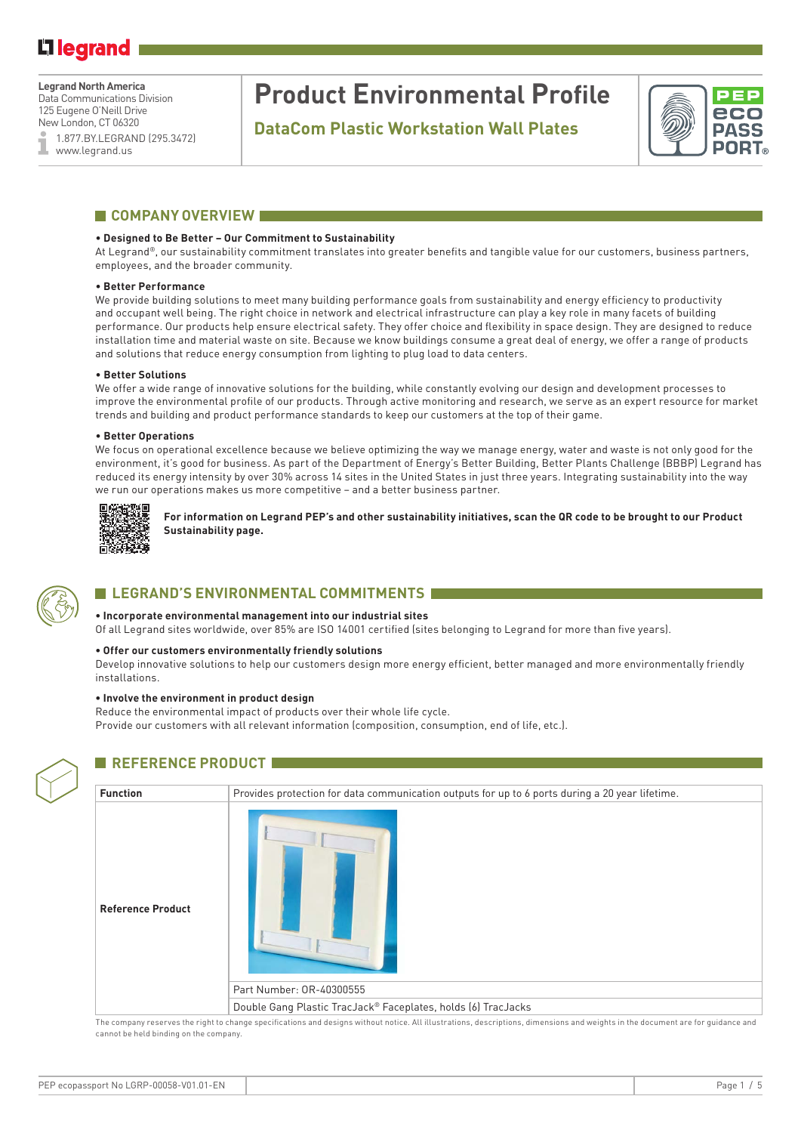### **Legrand North America**

Data Communications Division 125 Eugene O'Neill Drive New London, CT 06320

1.877.BY.LEGRAND (295.3472) www.legrand.us

## **Product Environmental Profile**

**DataCom Plastic Workstation Wall Plates**



### **COMPANY OVERVIEW**

### • **Designed to Be Better – Our Commitment to Sustainability**

At Legrand®, our sustainability commitment translates into greater benefits and tangible value for our customers, business partners, employees, and the broader community.

### • **Better Performance**

We provide building solutions to meet many building performance goals from sustainability and energy efficiency to productivity and occupant well being. The right choice in network and electrical infrastructure can play a key role in many facets of building performance. Our products help ensure electrical safety. They offer choice and flexibility in space design. They are designed to reduce installation time and material waste on site. Because we know buildings consume a great deal of energy, we offer a range of products and solutions that reduce energy consumption from lighting to plug load to data centers.

#### • **Better Solutions**

We offer a wide range of innovative solutions for the building, while constantly evolving our design and development processes to improve the environmental profile of our products. Through active monitoring and research, we serve as an expert resource for market trends and building and product performance standards to keep our customers at the top of their game.

#### • **Better Operations**

We focus on operational excellence because we believe optimizing the way we manage energy, water and waste is not only good for the environment, it's good for business. As part of the Department of Energy's Better Building, Better Plants Challenge (BBBP) Legrand has reduced its energy intensity by over 30% across 14 sites in the United States in just three years. Integrating sustainability into the way we run our operations makes us more competitive – and a better business partner.



**For information on Legrand PEP's and other sustainability initiatives, scan the QR code to be brought to our Product Sustainability page.** 



### **LEGRAND'S ENVIRONMENTAL COMMITMENTS**

### **• Incorporate environmental management into our industrial sites**

Of all Legrand sites worldwide, over 85% are ISO 14001 certified (sites belonging to Legrand for more than five years).

### **• Offer our customers environmentally friendly solutions**

Develop innovative solutions to help our customers design more energy efficient, better managed and more environmentally friendly installations.

### **• Involve the environment in product design**

Reduce the environmental impact of products over their whole life cycle. Provide our customers with all relevant information (composition, consumption, end of life, etc.).



### **REFERENCE PRODUCT**

| <b>Function</b>          | Provides protection for data communication outputs for up to 6 ports during a 20 year lifetime. |
|--------------------------|-------------------------------------------------------------------------------------------------|
| <b>Reference Product</b> |                                                                                                 |
|                          | Part Number: 0R-40300555                                                                        |
|                          | Double Gang Plastic TracJack® Faceplates, holds (6) TracJacks                                   |

The company reserves the right to change specifications and designs without notice. All illustrations, descriptions, dimensions and weights in the document are for guidance and cannot be held binding on the company.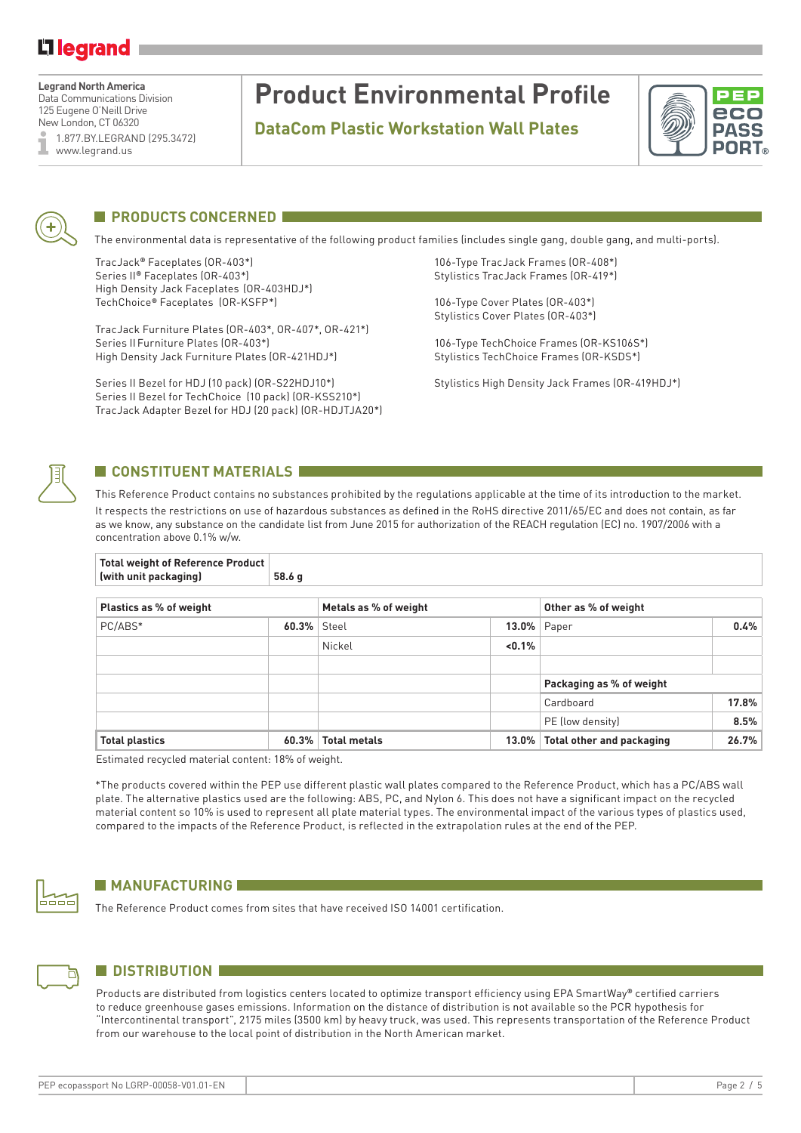## Li legrand

**Legrand North America** Data Communications Division 125 Eugene O'Neill Drive New London, CT 06320 1.877.BY.LEGRAND (295.3472) www.legrand.us

# **Product Environmental Profile**

**DataCom Plastic Workstation Wall Plates**





## **PRODUCTS CONCERNED**

The environmental data is representative of the following product families (includes single gang, double gang, and multi-ports).

TracJack**®** Faceplates (OR-403\*) 106-Type TracJack Frames (OR-408\*) Series II<sup>®</sup> Faceplates (OR-403\*) Stylistics TracJack Frames (OR-419\*) High Density Jack Faceplates (OR-403HDJ\*) TechChoice**®** Faceplates (OR-KSFP\*) 106-Type Cover Plates (OR-403\*)

TracJack Furniture Plates (OR-403\*, OR-407\*, OR-421\*) Series IIFurniture Plates (OR-403\*) 106-Type TechChoice Frames (OR-KS106S\*) High Density Jack Furniture Plates (OR-421HDJ\*) Stylistics TechChoice Frames (OR-KSDS\*)

Series II Bezel for HDJ (10 pack) (OR-S22HDJ10\*) Stylistics High Density Jack Frames (OR-419HDJ\*) Series II Bezel for TechChoice (10 pack) (OR-KSS210\*) TracJack Adapter Bezel for HDJ (20 pack) (OR-HDJTJA20\*)

Stylistics Cover Plates (OR-403\*)



## **CONSTITUENT MATERIALS**

**Total weight of Reference Product** 

This Reference Product contains no substances prohibited by the regulations applicable at the time of its introduction to the market. It respects the restrictions on use of hazardous substances as defined in the RoHS directive 2011/65/EC and does not contain, as far as we know, any substance on the candidate list from June 2015 for authorization of the REACH regulation (EC) no. 1907/2006 with a concentration above 0.1% w/w.

| (with unit packaging)   | 58.6 g         |                       |          |                                  |       |  |  |  |
|-------------------------|----------------|-----------------------|----------|----------------------------------|-------|--|--|--|
| Plastics as % of weight |                | Metals as % of weight |          | Other as % of weight             |       |  |  |  |
| PC/ABS*                 | $60.3\%$ Steel |                       | $13.0\%$ | Paper                            | 0.4%  |  |  |  |
|                         |                | Nickel                | < 0.1%   |                                  |       |  |  |  |
|                         |                |                       |          |                                  |       |  |  |  |
|                         |                |                       |          | Packaging as % of weight         |       |  |  |  |
|                         |                |                       |          | Cardboard                        | 17.8% |  |  |  |
|                         |                |                       |          | PE (low density)                 | 8.5%  |  |  |  |
| <b>Total plastics</b>   | 60.3%          | <b>Total metals</b>   | $13.0\%$ | <b>Total other and packaging</b> | 26.7% |  |  |  |

Estimated recycled material content: 18% of weight.

\*The products covered within the PEP use different plastic wall plates compared to the Reference Product, which has a PC/ABS wall plate. The alternative plastics used are the following: ABS, PC, and Nylon 6. This does not have a significant impact on the recycled material content so 10% is used to represent all plate material types. The environmental impact of the various types of plastics used, compared to the impacts of the Reference Product, is reflected in the extrapolation rules at the end of the PEP.



## **MANUFACTURING**

The Reference Product comes from sites that have received ISO 14001 certification.



## **N** DISTRIBUTION

Products are distributed from logistics centers located to optimize transport efficiency using EPA SmartWay**®** certified carriers to reduce greenhouse gases emissions. Information on the distance of distribution is not available so the PCR hypothesis for "Intercontinental transport", 2175 miles (3500 km) by heavy truck, was used. This represents transportation of the Reference Product from our warehouse to the local point of distribution in the North American market.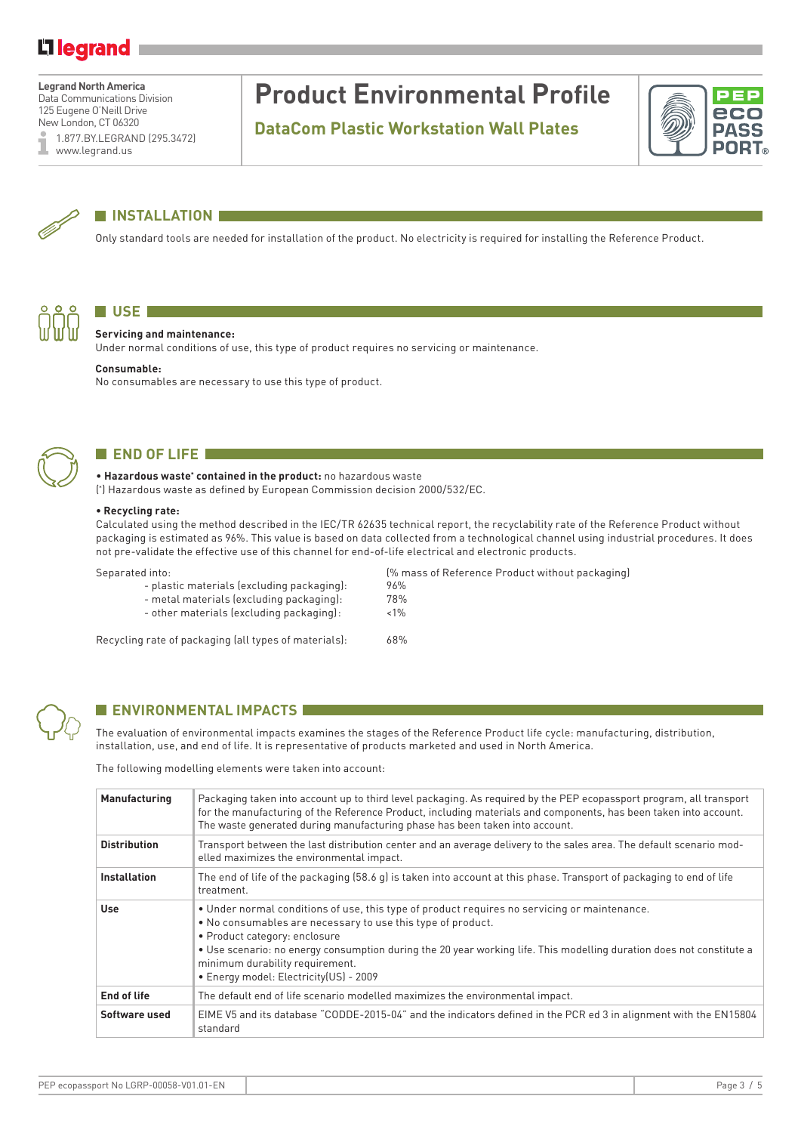## Li legrand

**Legrand North America** Data Communications Division 125 Eugene O'Neill Drive

New London, CT 06320 1.877.BY.LEGRAND (295.3472) www.legrand.us

# **Product Environmental Profile**

**DataCom Plastic Workstation Wall Plates**





## **NINSTALLATION**

Only standard tools are needed for installation of the product. No electricity is required for installing the Reference Product.



## **USE B**

### **Servicing and maintenance:**

Under normal conditions of use, this type of product requires no servicing or maintenance.

### **Consumable:**

No consumables are necessary to use this type of product.



## **END OF LIFE**

• **Hazardous waste\* contained in the product:** no hazardous waste

( \* ) Hazardous waste as defined by European Commission decision 2000/532/EC.

### **• Recycling rate:**

Calculated using the method described in the IEC/TR 62635 technical report, the recyclability rate of the Reference Product without packaging is estimated as 96%. This value is based on data collected from a technological channel using industrial procedures. It does not pre-validate the effective use of this channel for end-of-life electrical and electronic products.

Separated into: (% mass of Reference Product without packaging)

- plastic materials (excluding packaging): 96%
- metal materials (excluding packaging): 78%
- other materials (excluding packaging): <1%

Recycling rate of packaging (all types of materials): 68%



### **ENVIRONMENTAL IMPACTS**

The evaluation of environmental impacts examines the stages of the Reference Product life cycle: manufacturing, distribution, installation, use, and end of life. It is representative of products marketed and used in North America.

The following modelling elements were taken into account:

| Manufacturing       | Packaging taken into account up to third level packaging. As required by the PEP ecopassport program, all transport<br>for the manufacturing of the Reference Product, including materials and components, has been taken into account.<br>The waste generated during manufacturing phase has been taken into account.                                                                            |
|---------------------|---------------------------------------------------------------------------------------------------------------------------------------------------------------------------------------------------------------------------------------------------------------------------------------------------------------------------------------------------------------------------------------------------|
| <b>Distribution</b> | Transport between the last distribution center and an average delivery to the sales area. The default scenario mod-<br>elled maximizes the environmental impact.                                                                                                                                                                                                                                  |
| <b>Installation</b> | The end of life of the packaging (58.6 g) is taken into account at this phase. Transport of packaging to end of life<br>treatment.                                                                                                                                                                                                                                                                |
| <b>Use</b>          | . Under normal conditions of use, this type of product requires no servicing or maintenance.<br>• No consumables are necessary to use this type of product.<br>• Product category: enclosure<br>• Use scenario: no energy consumption during the 20 year working life. This modelling duration does not constitute a<br>minimum durability requirement.<br>· Energy model: Electricity(US) - 2009 |
| <b>End of life</b>  | The default end of life scenario modelled maximizes the environmental impact.                                                                                                                                                                                                                                                                                                                     |
| Software used       | EIME V5 and its database "CODDE-2015-04" and the indicators defined in the PCR ed 3 in alignment with the EN15804<br>standard                                                                                                                                                                                                                                                                     |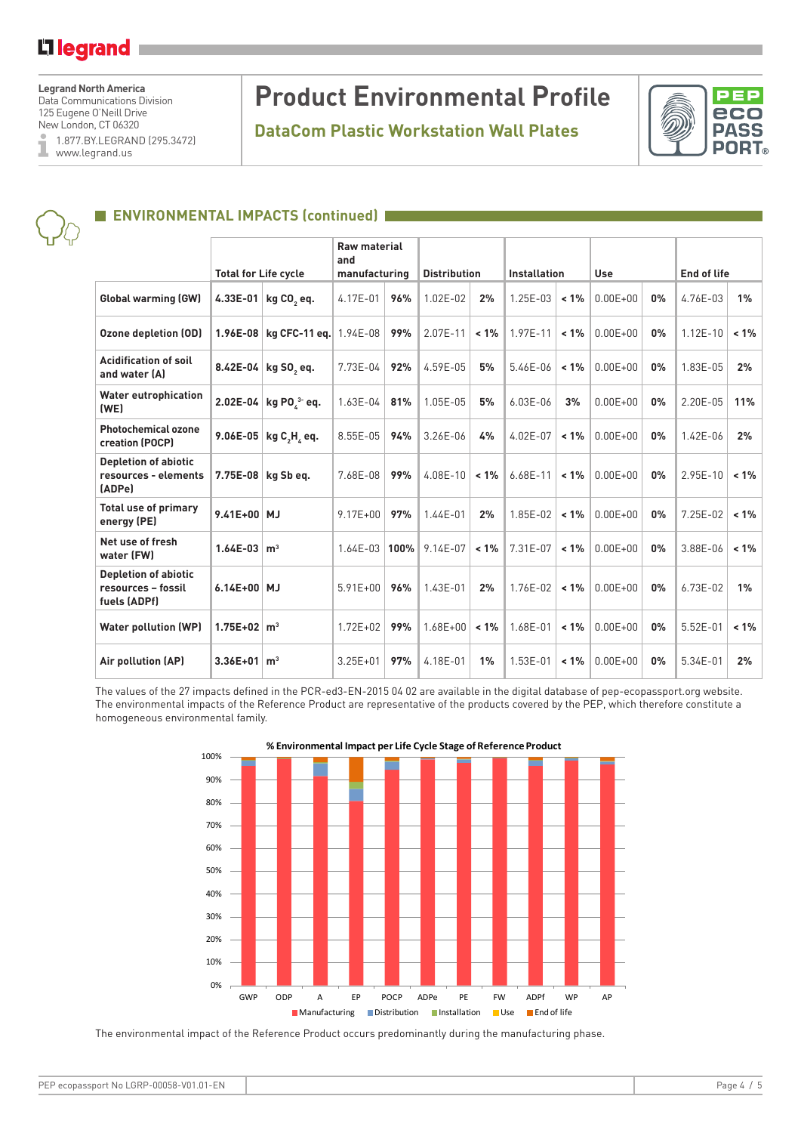## L<sub>legrand</sub>

**Legrand North America**

Data Communications Division 125 Eugene O'Neill Drive New London, CT 06320

1.877.BY.LEGRAND (295.3472) I www.legrand.us

# **Product Environmental Profile**

**DataCom Plastic Workstation Wall Plates**



## **ENVIRONMENTAL IMPACTS (continued)**

|                                                                   | <b>Total for Life cycle</b> |                            | <b>Raw material</b><br>and<br>manufacturing |         | <b>Distribution</b> |         | <b>Installation</b> |         | <b>Use</b>   |       | <b>End of life</b> |         |
|-------------------------------------------------------------------|-----------------------------|----------------------------|---------------------------------------------|---------|---------------------|---------|---------------------|---------|--------------|-------|--------------------|---------|
| <b>Global warming (GW)</b>                                        | 4.33E-01                    | kg CO <sub>2</sub> eq.     | 4.17E-01                                    | 96%     | 1.02E-02            | 2%      | 1.25E-03            | $< 1\%$ | $0.00E + 00$ | 0%    | 4.76E-03           | 1%      |
| <b>Ozone depletion (OD)</b>                                       | $1.96E - 08$                | $kg$ CFC-11 eq.   1.94E-08 |                                             | 99%     | 2.07E-11            | $< 1\%$ | 1.97E-11            | $< 1\%$ | $0.00E + 00$ | 0%    | $1.12E - 10$       | 1%      |
| <b>Acidification of soil</b><br>and water (A)                     |                             | 8.42E-04 kg SO, eq.        | 7.73E-04                                    | 92%     | 4.59E-05            | 5%      | 5.46E-06            | $< 1\%$ | $0.00E + 00$ | 0%    | 1.83E-05           | 2%      |
| <b>Water eutrophication</b><br>(WE)                               |                             | 2.02E-04 kg PO $^{3}$ eq.  | 1.63E-04                                    | 81%     | 1.05E-05            | 5%      | $6.03E-06$          | 3%      | $0.00E + 00$ | 0%    | 2.20E-05           | 11%     |
| <b>Photochemical ozone</b><br>creation (POCP)                     | $9.06E - 05$                | kg C, H, eq.               | 8.55E-05                                    | 94%     | 3.26E-06            | 4%      | 4.02E-07            | $< 1\%$ | $0.00E + 00$ | 0%    | $1.42E - 06$       | 2%      |
| <b>Depletion of abiotic</b><br>resources - elements<br>(ADPe)     | 7.75E-08                    | kg Sb eg.                  | 7.68E-08                                    | 99%     | 4.08E-10            | $< 1\%$ | $6.68E - 11$        | $< 1\%$ | $0.00E + 00$ | 0%    | $2.95E - 10$       | $< 1\%$ |
| <b>Total use of primary</b><br>energy (PE)                        | 9.41E+00 MJ                 |                            | $9.17E + 00$                                | 97%     | $1.44E - 01$        | 2%      | 1.85E-02            | $< 1\%$ | $0.00E + 00$ | $0\%$ | $7.25E-02$         | 1%      |
| Net use of fresh<br>water (FW)                                    | $1.64E-03$                  | m <sup>3</sup>             | $1.64E - 03$                                | $100\%$ | 9.14E-07            | $< 1\%$ | 7.31E-07            | $< 1\%$ | $0.00E + 00$ | 0%    | 3.88E-06           | 1%      |
| <b>Depletion of abiotic</b><br>resources - fossil<br>fuels (ADPf) | $6.14E + 00$ MJ             |                            | $5.91E + 00$                                | 96%     | 1.43E-01            | 2%      | 1.76E-02            | $1\%$   | $0.00E + 00$ | 0%    | $6.73E-02$         | $1\%$   |
| <b>Water pollution (WP)</b>                                       | $1.75E+02 \, m^3$           |                            | $1.72E + 02$                                | 99%     | $1.68E + 00$        | $< 1\%$ | 1.68E-01            | $< 1\%$ | $0.00E + 00$ | 0%    | $5.52E-01$         | 1%      |
| Air pollution (AP)                                                | $3.36E + 01$                | m <sup>3</sup>             | $3.25E + 01$                                | 97%     | 4.18E-01            | 1%      | 1.53E-01            | $< 1\%$ | $0.00E + 00$ | 0%    | 5.34E-01           | 2%      |

The values of the 27 impacts defined in the PCR-ed3-EN-2015 04 02 are available in the digital database of pep-ecopassport.org website. The environmental impacts of the Reference Product are representative of the products covered by the PEP, which therefore constitute a homogeneous environmental family.



### **% Environmental Impact per Life Cycle Stage of Reference Product**

The environmental impact of the Reference Product occurs predominantly during the manufacturing phase.